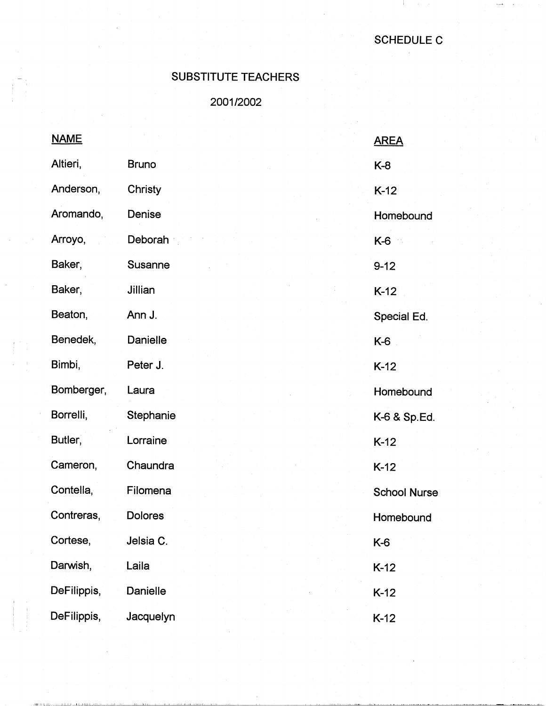J.

## SUBSTITUTE TEACHERS

2001/2002

| <b>NAME</b> |                | <b>AREA</b>         |
|-------------|----------------|---------------------|
| Altieri,    | <b>Bruno</b>   | $K-8$               |
| Anderson,   | Christy        | $K-12$              |
| Aromando,   | Denise         | Homebound           |
| Arroyo,     | Deborah        | K-6                 |
| Baker,      | <b>Susanne</b> | $9 - 12$            |
| Baker,      | Jillian        | $K-12$              |
| Beaton,     | Ann J.         | Special Ed.         |
| Benedek,    | Danielle       | K-6                 |
| Bimbi,      | Peter J.       | $K-12$              |
| Bomberger,  | Laura          | Homebound           |
| Borrelli,   | Stephanie      | K-6 & Sp.Ed.        |
| Butler,     | Lorraine       | $K-12$              |
| Cameron,    | Chaundra       | $K-12$              |
| Contella,   | Filomena       | <b>School Nurse</b> |
| Contreras,  | <b>Dolores</b> | Homebound           |
| Cortese,    | Jelsia C.      | K-6                 |
| Darwish,    | Laila          | $K-12$              |
| DeFilippis, | Danielle       | $K-12$              |
| DeFilippis, | Jacquelyn      | $K-12$              |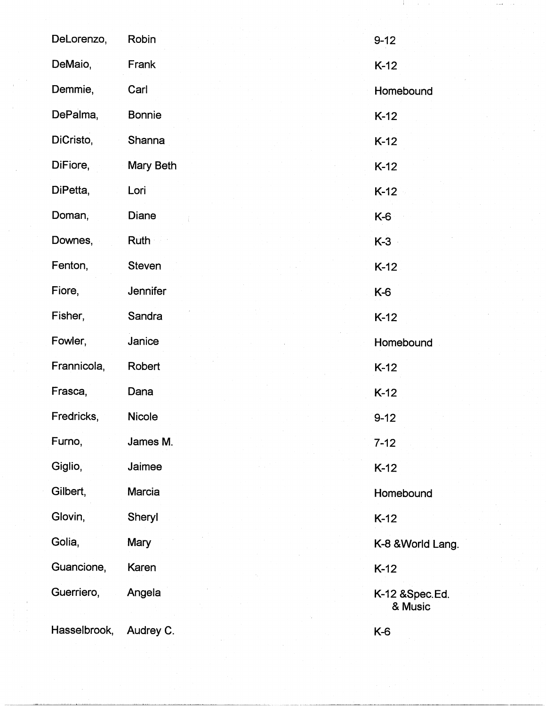| DeLorenzo,   | Robin         | $9 - 12$                  |
|--------------|---------------|---------------------------|
| DeMaio,      | Frank         | $K-12$                    |
| Demmie,      | Carl          | Homebound                 |
| DePalma,     | <b>Bonnie</b> | $K-12$                    |
| DiCristo,    | Shanna        | $K-12$                    |
| DiFiore,     | Mary Beth     | $K-12$                    |
| DiPetta,     | Lori          | $K-12$                    |
| Doman,       | Diane         | K-6                       |
| Downes,      | Ruth          | $K-3$                     |
| Fenton,      | <b>Steven</b> | $K-12$                    |
| Fiore,       | Jennifer      | K-6                       |
| Fisher,      | Sandra        | $K-12$                    |
| Fowler,      | Janice        | Homebound                 |
| Frannicola,  | Robert        | $K-12$                    |
| Frasca,      | Dana          | $K-12$                    |
| Fredricks,   | Nicole        | $9 - 12$                  |
| Furno,       | James M.      | $7 - 12$                  |
| Giglio,      | Jaimee        | $K-12$                    |
| Gilbert,     | Marcia        | Homebound                 |
| Glovin,      | Sheryl        | $K-12$                    |
| Golia,       | <b>Mary</b>   | K-8 & World Lang.         |
| Guancione,   | Karen         | $K-12$                    |
| Guerriero,   | Angela        | K-12 &Spec.Ed.<br>& Music |
| Hasselbrook, | Audrey C.     | K-6                       |

25 J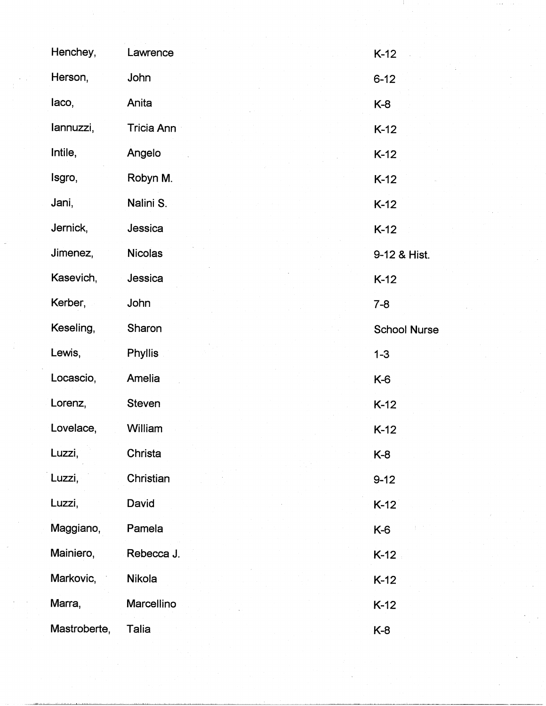| Henchey,     | Lawrence       | $K-12$              |
|--------------|----------------|---------------------|
| Herson,      | John           | $6 - 12$            |
| laco,        | Anita          | $K-8$               |
| lannuzzi,    | Tricia Ann     | $K-12$              |
| Intile,      | Angelo         | $K-12$              |
| Isgro,       | Robyn M.       | $K-12$              |
| Jani,        | Nalini S.      | $K-12$              |
| Jernick,     | Jessica        | $K-12$              |
| Jimenez,     | <b>Nicolas</b> | 9-12 & Hist.        |
| Kasevich,    | Jessica        | $K-12$              |
| Kerber,      | John           | $7 - 8$             |
| Keseling,    | Sharon         | <b>School Nurse</b> |
| Lewis,       | <b>Phyllis</b> | $1 - 3$             |
| Locascio,    | Amelia         | $K-6$               |
| Lorenz,      | <b>Steven</b>  | $K-12$              |
| Lovelace,    | William        | $K-12$              |
| Luzzi,       | Christa        | K-8                 |
| Luzzi,       | Christian      | $9 - 12$            |
| Luzzi,       | David          | $K-12$              |
| Maggiano,    | Pamela         | K-6                 |
| Mainiero,    | Rebecca J.     | $K-12$              |
| Markovic,    | Nikola         | $K-12$              |
| Marra,       | Marcellino     | $K-12$              |
| Mastroberte, | Talia          | K-8                 |

 $\frac{1}{\sqrt{2}}$ 

 $\label{eq:1} \begin{split} \mathcal{L}_{\mathcal{B}}(\mathbf{x}) & = \mathcal{L}_{\mathcal{B}}(\mathbf{x}) \\ & = \mathcal{L}_{\mathcal{B}}(\mathbf{x}) \end{split}$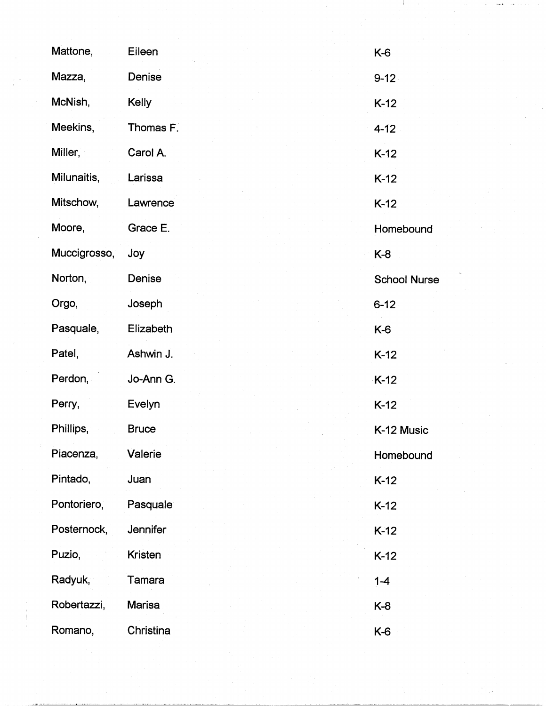| Mattone,     | Eileen        | K-6                 |
|--------------|---------------|---------------------|
| Mazza,       | Denise        | $9 - 12$            |
| McNish,      | <b>Kelly</b>  | $K-12$              |
| Meekins,     | Thomas F.     | $4 - 12$            |
| Miller,      | Carol A.      | $K-12$              |
| Milunaitis,  | Larissa       | $K-12$              |
| Mitschow,    | Lawrence      | $K-12$              |
| Moore,       | Grace E.      | Homebound           |
| Muccigrosso, | Joy           | K-8                 |
| Norton,      | Denise        | <b>School Nurse</b> |
| Orgo,        | Joseph        | $6 - 12$            |
| Pasquale,    | Elizabeth     | $K-6$               |
| Patel,       | Ashwin J.     | $K-12$              |
| Perdon,      | Jo-Ann G.     | $K-12$              |
| Perry,       | Evelyn        | $K-12$              |
| Phillips,    | <b>Bruce</b>  | K-12 Music          |
| Piacenza,    | Valerie       | Homebound           |
| Pintado,     | Juan          | $K-12$              |
| Pontoriero,  | Pasquale      | $K-12$              |
| Posternock,  | Jennifer      | $K-12$              |
| Puzio,       | Kristen       | $K-12$              |
| Radyuk,      | Tamara        | $1 - 4$             |
| Robertazzi,  | <b>Marisa</b> | K-8                 |
| Romano,      | Christina     | K-6                 |

 $\label{eq:2.1} \mathcal{L}(\mathcal{L}(\mathcal{L}))=\mathcal{L}(\mathcal{L}(\mathcal{L}))\quad \text{for all}\quad \mathcal{L}(\mathcal{L})\text{ is a non-odd-odd}.$